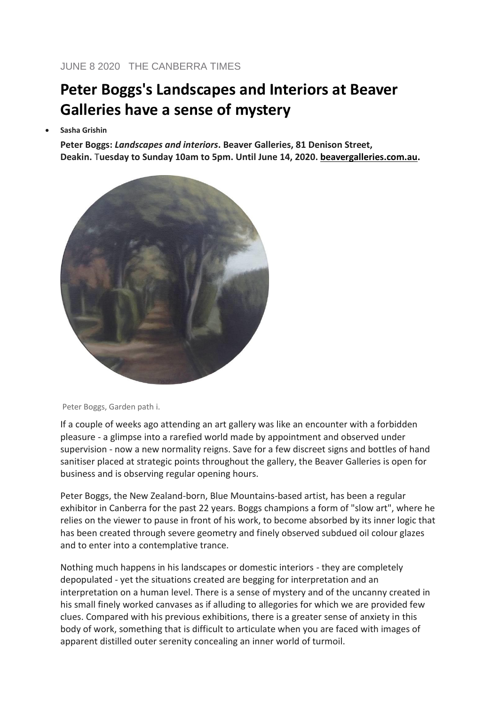## **Peter Boggs's Landscapes and Interiors at Beaver Galleries have a sense of mystery**

• **Sasha Grishin**

**Peter Boggs:** *Landscapes and interiors***. Beaver Galleries, 81 Denison Street, Deakin.** T**uesday to Sunday 10am to 5pm. Until June 14, 2020. [beavergalleries.com.au.](http://beavergalleries.com.au/)**



Peter Boggs, Garden path i.

If a couple of weeks ago attending an art gallery was like an encounter with a forbidden pleasure - a glimpse into a rarefied world made by appointment and observed under supervision - now a new normality reigns. Save for a few discreet signs and bottles of hand sanitiser placed at strategic points throughout the gallery, the Beaver Galleries is open for business and is observing regular opening hours.

Peter Boggs, the New Zealand-born, Blue Mountains-based artist, has been a regular exhibitor in Canberra for the past 22 years. Boggs champions a form of "slow art", where he relies on the viewer to pause in front of his work, to become absorbed by its inner logic that has been created through severe geometry and finely observed subdued oil colour glazes and to enter into a contemplative trance.

Nothing much happens in his landscapes or domestic interiors - they are completely depopulated - yet the situations created are begging for interpretation and an interpretation on a human level. There is a sense of mystery and of the uncanny created in his small finely worked canvases as if alluding to allegories for which we are provided few clues. Compared with his previous exhibitions, there is a greater sense of anxiety in this body of work, something that is difficult to articulate when you are faced with images of apparent distilled outer serenity concealing an inner world of turmoil.